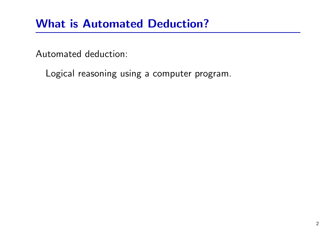### What is Automated Deduction?

Automated deduction:

Logical reasoning using <sup>a</sup> computer program.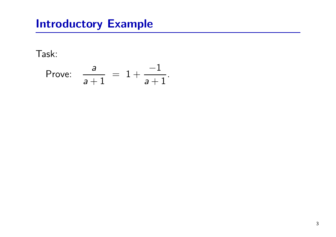Task:

Prove: 
$$
\frac{a}{a+1} = 1 + \frac{-1}{a+1}
$$
.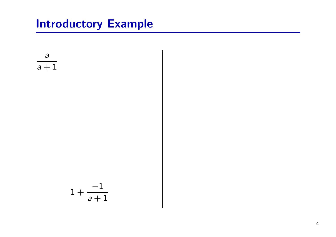$$
\frac{a}{a+1}
$$
\n
$$
1 + \frac{-1}{a+1}
$$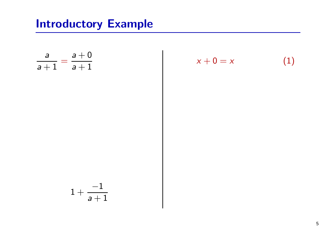$$
\frac{a}{a+1} = \frac{a+0}{a+1}
$$
  

$$
1 + \frac{-1}{a+1}
$$

$$
x + 0 = x \tag{1}
$$

5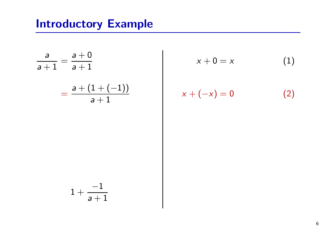$$
\frac{a}{a+1} = \frac{a+0}{a+1}
$$

$$
= \frac{a + (1 + (-1))}{a+1}
$$

$$
x + 0 = x \tag{1}
$$

$$
x + (-x) = 0 \tag{2}
$$

$$
1+\frac{-1}{a+1}
$$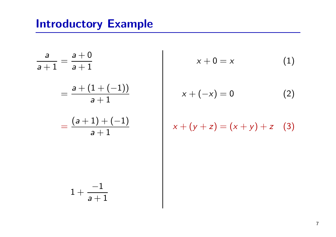$$
\frac{a}{a+1} = \frac{a+0}{a+1}
$$
  
= 
$$
\frac{a + (1 + (-1))}{a+1}
$$
  
= 
$$
\frac{(a+1) + (-1)}{a+1}
$$

$$
1+\frac{-1}{a+1}
$$

$$
x + 0 = x \tag{1}
$$

$$
x + (-x) = 0 \tag{2}
$$

$$
x + (y + z) = (x + y) + z
$$
 (3)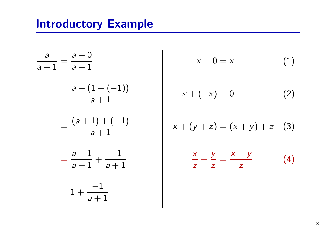$$
\frac{a}{a+1} = \frac{a+0}{a+1}
$$
  
= 
$$
\frac{a + (1 + (-1))}{a+1}
$$
  
= 
$$
\frac{(a+1) + (-1)}{a+1}
$$
  
= 
$$
\frac{a+1}{a+1} + \frac{-1}{a+1}
$$
  

$$
1 + \frac{-1}{a+1}
$$

$$
x+0=x \hspace{1.5cm} (1)
$$

$$
x + (-x) = 0 \tag{2}
$$

$$
x + (y + z) = (x + y) + z
$$
 (3)

$$
\frac{x}{z} + \frac{y}{z} = \frac{x + y}{z} \tag{4}
$$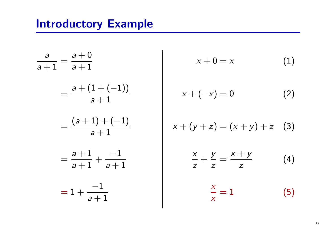$$
\frac{a}{a+1} = \frac{a+0}{a+1}
$$
  
= 
$$
\frac{a + (1 + (-1))}{a+1}
$$
  
= 
$$
\frac{(a+1) + (-1)}{a+1}
$$
  
= 
$$
\frac{a+1}{a+1} + \frac{-1}{a+1}
$$
  
= 
$$
1 + \frac{-1}{a+1}
$$

$$
x+0=x \hspace{1.5cm} (1)
$$

$$
x + (-x) = 0 \tag{2}
$$

$$
x + (y + z) = (x + y) + z \quad (3)
$$

$$
\frac{x}{z} + \frac{y}{z} = \frac{x + y}{z} \tag{4}
$$

 $\boldsymbol{\mathsf{X}}$  $\frac{1}{x} = 1$  (5)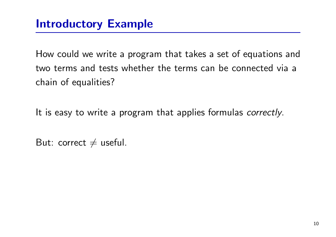How could we write <sup>a</sup> program that takes <sup>a</sup> set of equations and two terms and tests whether the terms can be connected via <sup>a</sup> chain of equalities?

It is easy to write a program that applies formulas *correctly*.

 $\mathsf{But}\colon$  correct  $\neq$  useful.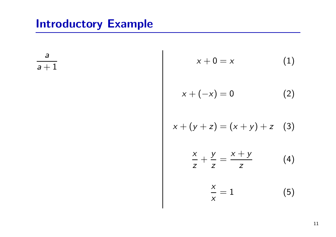a  $\overline{a+1}$ 

$$
x+0=x \hspace{1.5cm} (1)
$$

$$
x + (-x) = 0 \tag{2}
$$

$$
x + (y + z) = (x + y) + z
$$
 (3)

$$
\frac{x}{z} + \frac{y}{z} = \frac{x + y}{z} \tag{4}
$$

$$
\frac{x}{x} = 1 \tag{5}
$$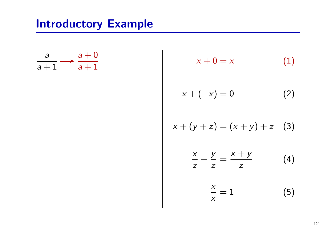$$
\frac{a}{a+1} \longrightarrow \frac{a+0}{a+1}
$$

$$
x + 0 = x \tag{1}
$$

$$
x + (-x) = 0 \tag{2}
$$

$$
x + (y + z) = (x + y) + z \quad (3)
$$

$$
\frac{x}{z} + \frac{y}{z} = \frac{x + y}{z} \tag{4}
$$

$$
\frac{x}{x} = 1 \tag{5}
$$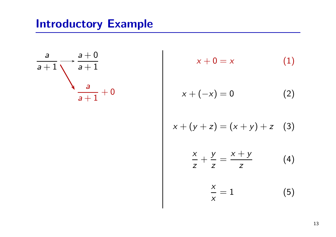$$
\frac{a}{a+1} \xrightarrow{\phantom{a}a+0} \frac{a+0}{a+1}
$$

$$
x + 0 = x \tag{1}
$$

$$
x + (-x) = 0 \tag{2}
$$

$$
x + (y + z) = (x + y) + z \quad (3)
$$

$$
\frac{x}{z} + \frac{y}{z} = \frac{x + y}{z} \tag{4}
$$

$$
\frac{x}{x} = 1 \tag{5}
$$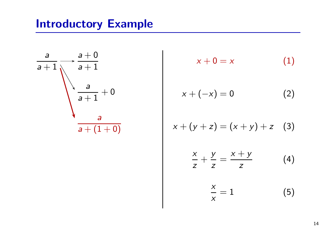$$
\frac{a}{a+1} \xrightarrow{\overline{a+1}} \frac{a+0}{a+1}
$$
\n
$$
\frac{a}{a+1} + 0
$$
\n
$$
\frac{a}{a+(1+0)}
$$

$$
x + 0 = x \tag{1}
$$

$$
x + (-x) = 0 \tag{2}
$$

$$
x + (y + z) = (x + y) + z
$$
 (3)

$$
\frac{x}{z} + \frac{y}{z} = \frac{x + y}{z} \tag{4}
$$

$$
\frac{x}{x} = 1 \tag{5}
$$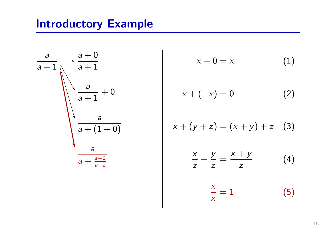$$
\frac{a}{a+1} \xrightarrow{\overline{a+1}} \frac{a+0}{a+1}
$$
\n
$$
\frac{a}{a+1} + 0
$$
\n
$$
\frac{a}{a+(1+0)}
$$
\n
$$
\frac{a}{a+\frac{a+2}{a+2}}
$$

$$
x + 0 = x \tag{1}
$$

$$
x + (-x) = 0 \tag{2}
$$

$$
x + (y + z) = (x + y) + z \quad (3)
$$

$$
\frac{x}{z} + \frac{y}{z} = \frac{x + y}{z} \tag{4}
$$

$$
\frac{x}{x} = 1 \tag{5}
$$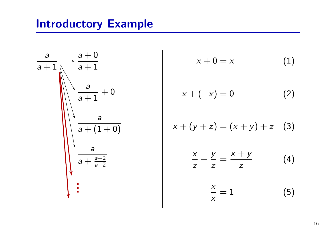

$$
x + 0 = x \tag{1}
$$

$$
x + (-x) = 0 \tag{2}
$$

$$
x + (y + z) = (x + y) + z \quad (3)
$$

$$
\frac{x}{z} + \frac{y}{z} = \frac{x + y}{z} \tag{4}
$$

$$
\frac{x}{x} = 1 \tag{5}
$$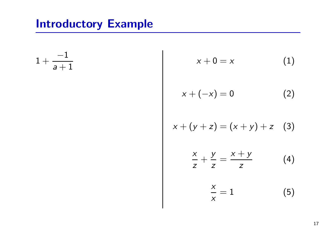$1 +$ − 1  $\mathsf{a}+1$ 

$$
x + 0 = x \tag{1}
$$

$$
x + (-x) = 0 \tag{2}
$$

$$
x + (y + z) = (x + y) + z \quad (3)
$$

$$
\frac{x}{z} + \frac{y}{z} = \frac{x + y}{z} \tag{4}
$$

$$
\frac{x}{x} = 1 \tag{5}
$$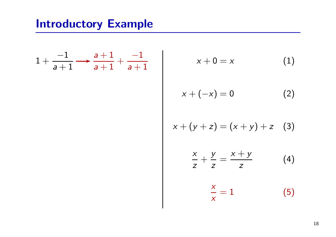$$
1+\frac{-1}{a+1}\longrightarrow \frac{a+1}{a+1}+\frac{-1}{a+1}
$$

$$
x+0=x \hspace{1.5cm} (1)
$$

$$
x + (-x) = 0 \tag{2}
$$

$$
x + (y + z) = (x + y) + z
$$
 (3)

$$
\frac{x}{z} + \frac{y}{z} = \frac{x + y}{z} \tag{4}
$$

$$
\frac{x}{x} = 1 \tag{5}
$$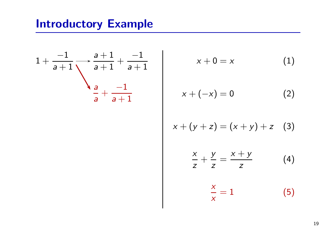$$
1 + \frac{-1}{a+1} \xrightarrow{\begin{array}{c} a+1 \\ a+1 \end{array}} + \frac{-1}{a+1}
$$

$$
\frac{a}{a} + \frac{-1}{a+1}
$$

$$
x + 0 = x \tag{1}
$$

$$
x + (-x) = 0 \tag{2}
$$

$$
x + (y + z) = (x + y) + z \quad (3)
$$

$$
\frac{x}{z} + \frac{y}{z} = \frac{x + y}{z} \tag{4}
$$

$$
\frac{x}{x} = 1 \tag{5}
$$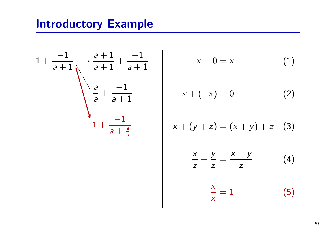$$
1 + \frac{-1}{a+1} \xrightarrow{\frac{a+1}{a+1} + \frac{-1}{a+1}}
$$

$$
\frac{a}{a} + \frac{-1}{a+1}
$$

$$
1 + \frac{-1}{a+\frac{a}{a}} \qquad \frac{1}{a+1}
$$

$$
x + 0 = x \tag{1}
$$

$$
x + (-x) = 0 \tag{2}
$$

$$
x + (y + z) = (x + y) + z \quad (3)
$$

$$
\frac{x}{z} + \frac{y}{z} = \frac{x + y}{z} \tag{4}
$$

$$
\frac{x}{x} = 1 \tag{5}
$$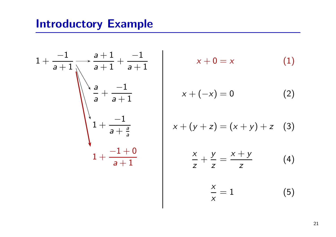$$
1 + \frac{-1}{a+1} \xrightarrow{\frac{a+1}{a+1} + \frac{-1}{a+1}}
$$
  

$$
\begin{array}{c}\n\frac{a}{a} + \frac{-1}{a+1} \\
1 + \frac{-1}{a+\frac{a}{a}} \\
1 + \frac{-1+0}{a+1}\n\end{array}
$$

$$
x + 0 = x \tag{1}
$$

$$
x + (-x) = 0 \tag{2}
$$

$$
x + (y + z) = (x + y) + z \quad (3)
$$

$$
\frac{x}{z} + \frac{y}{z} = \frac{x + y}{z} \tag{4}
$$

$$
\frac{x}{x} = 1 \tag{5}
$$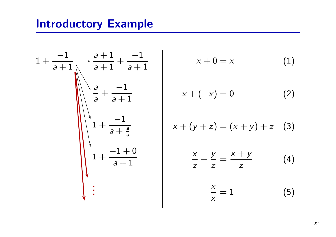

$$
x + 0 = x \tag{1}
$$

$$
x + (-x) = 0 \tag{2}
$$

$$
x + (y + z) = (x + y) + z \quad (3)
$$

$$
\frac{x}{z} + \frac{y}{z} = \frac{x + y}{z} \tag{4}
$$

$$
\frac{x}{x} = 1 \tag{5}
$$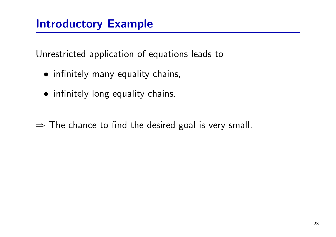Unrestricted application of equations leads to

- infinitely many equality chains,
- infinitely long equality chains.

 $\Rightarrow$  The chance to find the desired goal is very small.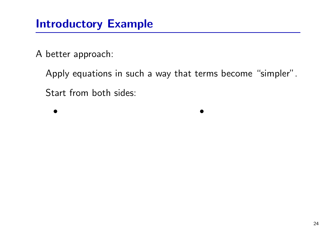A better approach:

Apply equations in such a way that terms become "simpler". Start from both sides:

• •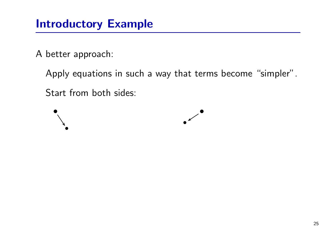A better approach:

Apply equations in such a way that terms become "simpler".

Start from both sides:

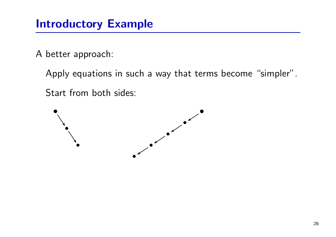A better approach:

Apply equations in such a way that terms become "simpler".

Start from both sides:

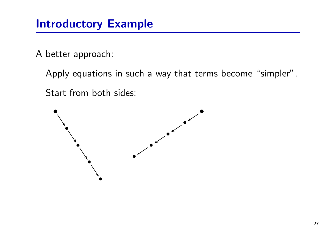A better approach:

Apply equations in such a way that terms become "simpler".

Start from both sides:

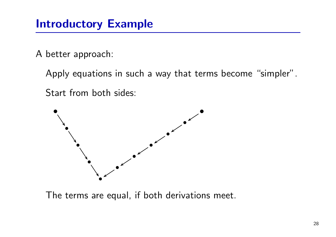A better approach:

Apply equations in such a way that terms become "simpler".

Start from both sides:



The terms are equal, if both derivations meet.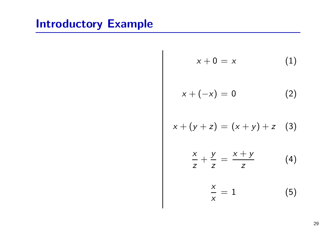$$
x + 0 = x \qquad (1)
$$
  
\n
$$
x + (-x) = 0 \qquad (2)
$$
  
\n
$$
x + (y + z) = (x + y) + z \qquad (3)
$$
  
\n
$$
\frac{x}{z} + \frac{y}{z} = \frac{x + y}{z} \qquad (4)
$$
  
\n
$$
\frac{x}{x} = 1 \qquad (5)
$$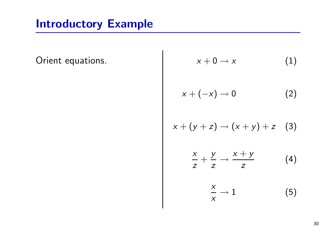Orient equations.

$$
x + 0 \rightarrow x \qquad (1)
$$
\n
$$
x + (-x) \rightarrow 0 \qquad (2)
$$
\n
$$
x + (y + z) \rightarrow (x + y) + z \qquad (3)
$$
\n
$$
\frac{x}{z} + \frac{y}{z} \rightarrow \frac{x + y}{z} \qquad (4)
$$
\n
$$
\frac{x}{x} \rightarrow 1 \qquad (5)
$$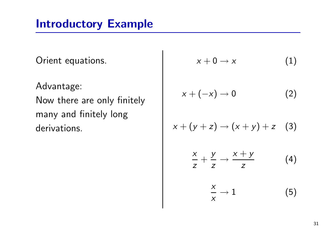Orient equations.

Advantage: Now there are only finitely many and finitely long derivations.

$$
x + 0 \rightarrow x \qquad (1)
$$
\n
$$
x + (-x) \rightarrow 0 \qquad (2)
$$
\n
$$
x + (y + z) \rightarrow (x + y) + z \qquad (3)
$$
\n
$$
\frac{x}{z} + \frac{y}{z} \rightarrow \frac{x + y}{z} \qquad (4)
$$
\n
$$
\frac{x}{z} \rightarrow 1 \qquad (5)
$$

x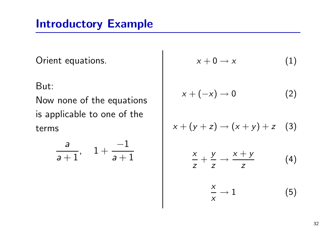Orient equations.

But:

Now none of the equations is applicable to one of the terms

$$
\frac{a}{a+1}, \quad 1+\frac{-1}{a+1}
$$

$$
x+0\to x \hspace{1.5cm} (1)
$$

$$
x + (-x) \to 0 \tag{2}
$$

$$
x + (y + z) \rightarrow (x + y) + z \quad (3)
$$
  

$$
\frac{x}{z} + \frac{y}{z} \rightarrow \frac{x + y}{z} \quad (4)
$$

$$
\frac{x}{x} \to 1 \tag{5}
$$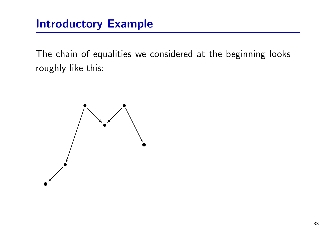The chain of equalities we considered at the beginning looks roughly like this:

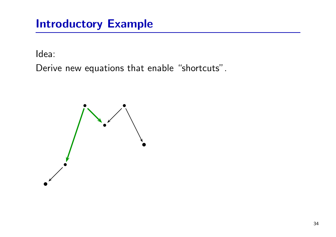Idea:

Derive new equations that enable "shortcuts".

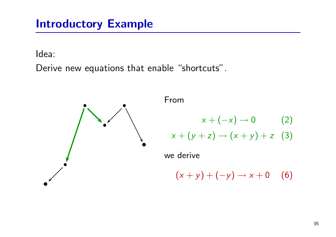Idea:

Derive new equations that enable "shortcuts".



From

$$
x + (-x) \to 0 \qquad \qquad (2)
$$

$$
x + (y + z) \rightarrow (x + y) + z
$$
 (3)

we derive

 $(x + y) + (-y) \rightarrow x + 0$  (6)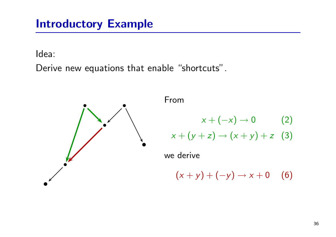Idea:

Derive new equations that enable "shortcuts".



From

$$
x + (-x) \to 0 \qquad (2)
$$

$$
x + (y + z) \rightarrow (x + y) + z
$$
 (3)

we derive

 $(x + y) + (-y) \rightarrow x + 0$  (6)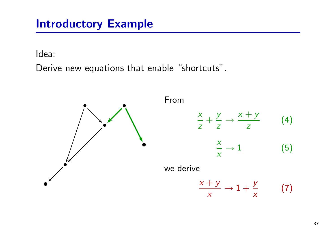Idea:

Derive new equations that enable "shortcuts".

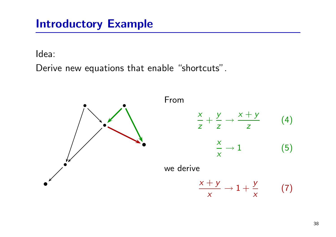Idea:

Derive new equations that enable "shortcuts".

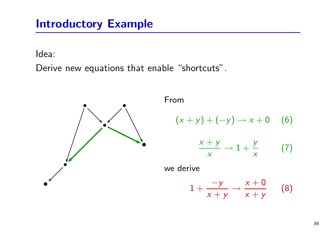Idea:

Derive new equations that enable "shortcuts".



From

$$
(x + y) + (-y) \rightarrow x + 0 \quad (6)
$$
  

$$
\frac{x + y}{x} \rightarrow 1 + \frac{y}{x} \quad (7)
$$

we derive

$$
1+\frac{-y}{x+y}\rightarrow \frac{x+0}{x+y} \qquad (8)
$$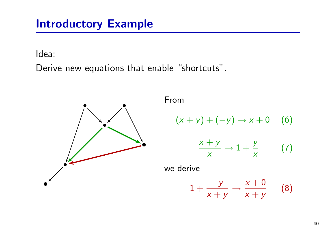Idea:

Derive new equations that enable "shortcuts".



From

$$
(x + y) + (-y) \rightarrow x + 0 \quad (6)
$$
  

$$
\frac{x + y}{x} \rightarrow 1 + \frac{y}{x} \quad (7)
$$

we derive

$$
1+\frac{-y}{x+y}\rightarrow \frac{x+0}{x+y} \qquad (8)
$$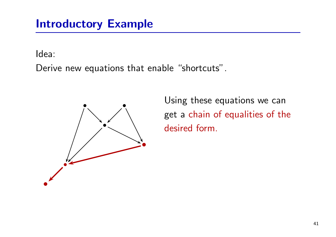Idea:

Derive new equations that enable "shortcuts".



Using these equations we can get <sup>a</sup> chain of equalities of the desired form.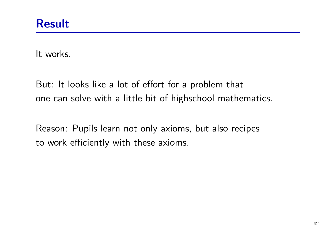It works.

But: It looks like <sup>a</sup> lot of effort for <sup>a</sup> problem that one can solve with <sup>a</sup> little bit of highschool mathematics.

Reason: Pupils learn not only axioms, but also recipes to work efficiently with these axioms.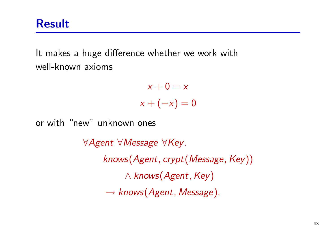Result

It makes <sup>a</sup> huge difference whether we work with well-known axioms

> $x+0=x$  $x+(-x)=0$

or with "new" unknown ones

∀Agent ∀Message ∀Key. knows(Agent, crypt(Message, Key))  $\land$  knows(Agent, Key)  $\rightarrow$  knows (Agent, Message).